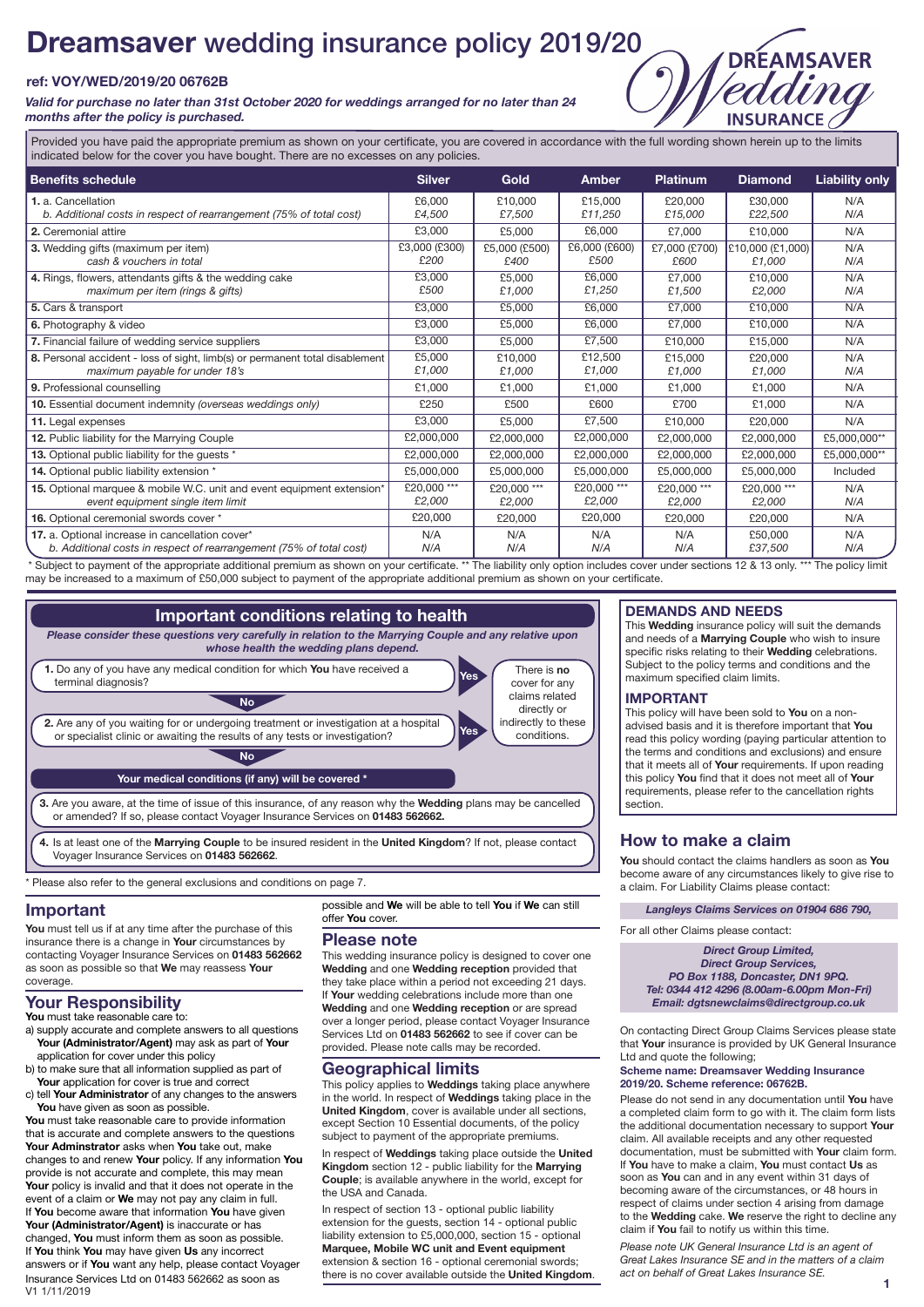# **Dreamsaver** wedding insurance policy 2019/20

### **ref: VOY/WED/2019/20 06762B**

*Valid for purchase no later than 31st October 2020 for weddings arranged for no later than 24 months after the policy is purchased.*

**INSURANCE** Provided you have paid the appropriate premium as shown on your certificate, you are covered in accordance with the full wording shown herein up to the limits indicated below for the cover you have bought. There are no excesses on any policies.

| <b>Benefits schedule</b>                                                     | <b>Silver</b> | <b>Gold</b>   | Amber         | <b>Platinum</b> | <b>Diamond</b>   | <b>Liability only</b> |
|------------------------------------------------------------------------------|---------------|---------------|---------------|-----------------|------------------|-----------------------|
| 1. a. Cancellation                                                           | £6,000        | £10,000       | £15,000       | £20.000         | £30,000          | N/A                   |
| b. Additional costs in respect of rearrangement (75% of total cost)          | £4,500        | £7,500        | £11,250       | £15,000         | £22,500          | N/A                   |
| 2. Ceremonial attire                                                         | £3,000        | £5,000        | £6,000        | £7,000          | £10,000          | N/A                   |
| 3. Wedding gifts (maximum per item)                                          | £3,000 (£300) | £5,000 (£500) | £6,000 (£600) | £7,000 (£700)   | £10,000 (£1,000) | N/A                   |
| cash & vouchers in total                                                     | £200          | £400          | £500          | £600            | £1,000           | N/A                   |
| 4. Rings, flowers, attendants gifts & the wedding cake                       | £3.000        | £5.000        | £6,000        | £7.000          | £10.000          | N/A                   |
| maximum per item (rings & gifts)                                             | £500          | £1,000        | £1,250        | £1,500          | £2,000           | N/A                   |
| 5. Cars & transport                                                          | E3,000        | £5,000        | £6,000        | £7.000          | £10,000          | N/A                   |
| 6. Photography & video                                                       | £3,000        | £5,000        | £6,000        | £7.000          | £10.000          | N/A                   |
| 7. Financial failure of wedding service suppliers                            | £3,000        | £5,000        | £7.500        | £10,000         | £15,000          | N/A                   |
| 8. Personal accident - loss of sight, limb(s) or permanent total disablement | £5,000        | £10,000       | £12,500       | £15.000         | £20,000          | N/A                   |
| maximum payable for under 18's                                               | £1.000        | £1,000        | £1,000        | £1.000          | £1,000           | N/A                   |
| 9. Professional counselling                                                  | £1.000        | £1,000        | £1,000        | £1,000          | £1,000           | N/A                   |
| 10. Essential document indemnity (overseas weddings only)                    | £250          | £500          | £600          | £700            | £1.000           | N/A                   |
| 11. Legal expenses                                                           | £3,000        | £5,000        | £7,500        | £10,000         | £20,000          | N/A                   |
| 12. Public liability for the Marrying Couple                                 | £2,000,000    | £2,000,000    | £2,000,000    | £2,000,000      | £2,000,000       | £5,000,000**          |
| 13. Optional public liability for the quests *                               | £2,000,000    | £2,000,000    | £2,000,000    | £2,000,000      | £2,000,000       | £5,000,000**          |
| 14. Optional public liability extension *                                    | £5,000,000    | £5,000,000    | £5,000,000    | £5,000,000      | £5,000,000       | Included              |
| 15. Optional marquee & mobile W.C. unit and event equipment extension*       | £20.000 ***   | £20.000 ***   | £20,000 ***   | £20,000 ***     | £20,000 ***      | N/A                   |
| event equipment single item limit                                            | £2,000        | £2,000        | £2,000        | £2,000          | £2,000           | N/A                   |
| 16. Optional ceremonial swords cover *                                       | £20,000       | £20,000       | £20,000       | £20,000         | £20,000          | N/A                   |
| 17. a. Optional increase in cancellation cover*                              | N/A           | N/A           | N/A           | N/A             | £50,000          | N/A                   |
| b. Additional costs in respect of rearrangement (75% of total cost)          | N/A           | N/A           | N/A           | N/A             | £37,500          | N/A                   |

Subject to payment of the appropriate additional premium as shown on your certificate. \*\* The liability only option includes cover under sections 12 & 13 only. \*\*\* The policy limit may be increased to a maximum of £50,000 subject to payment of the appropriate additional premium as shown on your certificate.



\* Please also refer to the general exclusions and conditions on page 7.

### **Important**

**You** must tell us if at any time after the purchase of this insurance there is a change in **Your** circumstances by contacting Voyager Insurance Services on **01483 562662** as soon as possible so that **We** may reassess **Your** coverage.

### **Your Responsibility**

**You** must take reasonable care to:

- a) supply accurate and complete answers to all questions **Your (Administrator/Agent)** may ask as part of **Your** application for cover under this policy
- b) to make sure that all information supplied as part of **Your** application for cover is true and correct
- c) tell **Your Administrator** of any changes to the answers **You** have given as soon as possible

**You** must take reasonable care to provide information that is accurate and complete answers to the questions **Your Adminstrator** asks when **You** take out, make changes to and renew **Your** policy. If any information **You** provide is not accurate and complete, this may mean **Your** policy is invalid and that it does not operate in the event of a claim or **We** may not pay any claim in full. If **You** become aware that information **You** have given **Your (Administrator/Agent)** is inaccurate or has changed, **You** must inform them as soon as possible. If **You** think **You** may have given **Us** any incorrect answers or if **You** want any help, please contact Voyager Insurance Services Ltd on 01483 562662 as soon as V1 1/11/2019

possible and **We** will be able to tell **You** if **We** can still offer **You** cover.

### **Please note**

This wedding insurance policy is designed to cover one **Wedding** and one **Wedding reception** provided that they take place within a period not exceeding 21 days. If **Your** wedding celebrations include more than one **Wedding** and one **Wedding reception** or are spread over a longer period, please contact Voyager Insurance Services Ltd on **01483 562662** to see if cover can be provided. Please note calls may be recorded.

### **Geographical limits**

This policy applies to **Weddings** taking place anywhere in the world. In respect of **Weddings** taking place in the **United Kingdom**, cover is available under all sections, except Section 10 Essential documents, of the policy subject to payment of the appropriate premiums.

In respect of **Weddings** taking place outside the **United Kingdom** section 12 - public liability for the **Marrying Couple**; is available anywhere in the world, except for the USA and Canada.

In respect of section 13 - optional public liability extension for the guests, section 14 - optional public liability extension to £5,000,000, section 15 - optional **Marquee, Mobile WC unit and Event equipment**  extension & section 16 - optional ceremonial swords; there is no cover available outside the **United Kingdom**.

### **DEMANDS AND NEEDS**

This **Wedding** insurance policy will suit the demands and needs of a **Marrying Couple** who wish to insure specific risks relating to their **Wedding** celebrations. Subject to the policy terms and conditions and the maximum specified claim limits.

**DREAMSAVER** 

### **IMPORTANT**

This policy will have been sold to **You** on a nonadvised basis and it is therefore important that **You** read this policy wording (paying particular attention to the terms and conditions and exclusions) and ensure that it meets all of **Your** requirements. If upon reading this policy **You** find that it does not meet all of **Your** requirements, please refer to the cancellation rights section.

### **How to make a claim**

**You** should contact the claims handlers as soon as **You** become aware of any circumstances likely to give rise to a claim. For Liability Claims please contact:

### *Langleys Claims Services on 01904 686 790,*

For all other Claims please contact:

*Direct Group Limited, Direct Group Services, PO Box 1188, Doncaster, DN1 9PQ. Tel: 0344 412 4296 (8.00am-6.00pm Mon-Fri) Email: dgtsnewclaims@directgroup.co.uk*

On contacting Direct Group Claims Services please state that **Your** insurance is provided by UK General Insurance Ltd and quote the following;

#### **Scheme name: Dreamsaver Wedding Insurance 2019/20. Scheme reference: 06762B.**

Please do not send in any documentation until **You** have a completed claim form to go with it. The claim form lists the additional documentation necessary to support **Your** claim. All available receipts and any other requested documentation, must be submitted with **Your** claim form. If **You** have to make a claim, **You** must contact **Us** as soon as **You** can and in any event within 31 days of becoming aware of the circumstances, or 48 hours in respect of claims under section 4 arising from damage to the **Wedding** cake. **We** reserve the right to decline any claim if **You** fail to notify us within this time.

*Please note UK General Insurance Ltd is an agent of Great Lakes Insurance SE and in the matters of a claim act on behalf of Great Lakes Insurance SE.*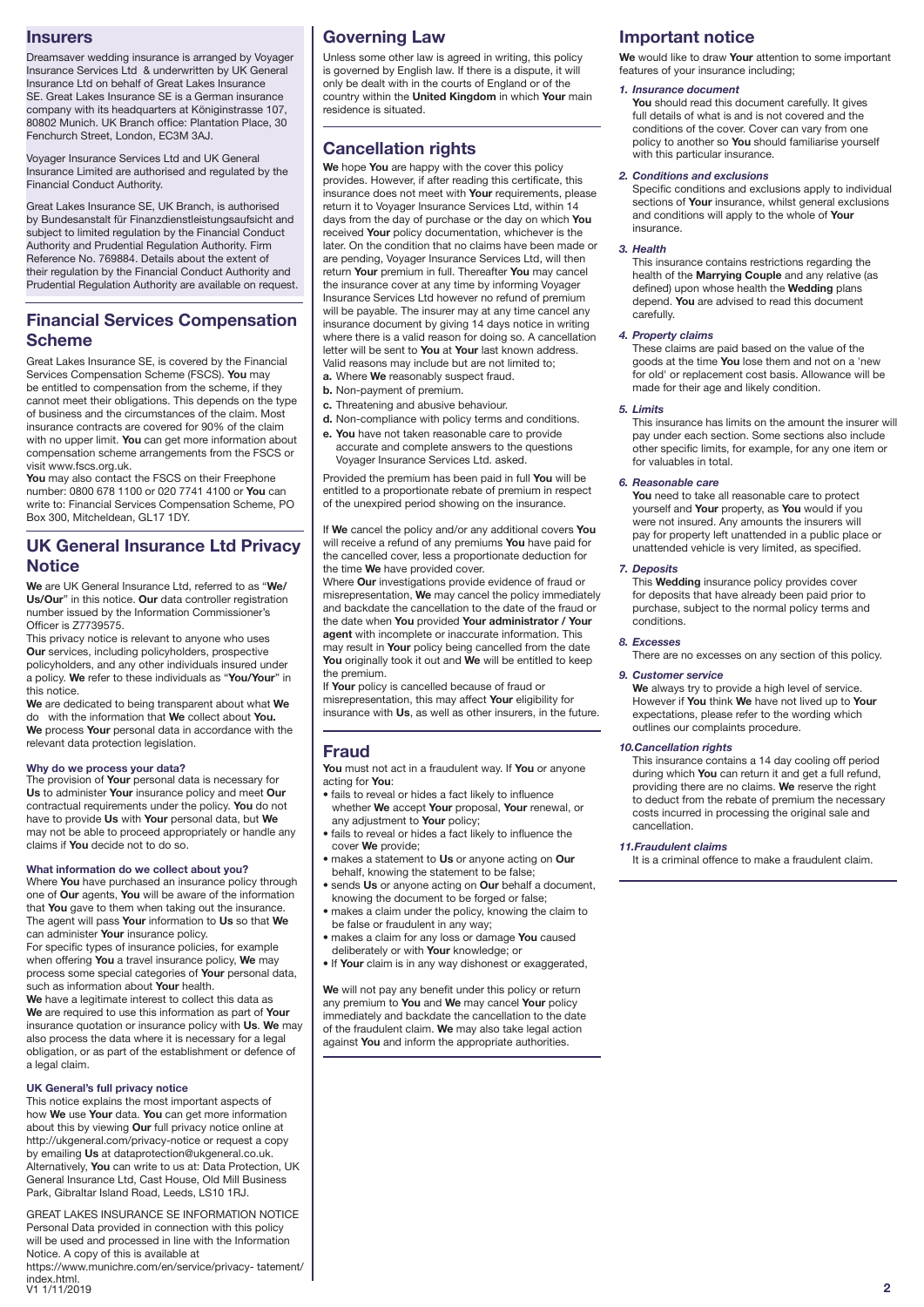### **Insurers**

Dreamsaver wedding insurance is arranged by Voyager Insurance Services Ltd & underwritten by UK General Insurance Ltd on behalf of Great Lakes Insurance SE. Great Lakes Insurance SE is a German insurance company with its headquarters at Königinstrasse 107, 80802 Munich. UK Branch office: Plantation Place, 30 Fenchurch Street, London, EC3M 3AJ.

Voyager Insurance Services Ltd and UK General Insurance Limited are authorised and regulated by the Financial Conduct Authority.

Great Lakes Insurance SE, UK Branch, is authorised by Bundesanstalt für Finanzdienstleistungsaufsicht and sy Banacoanolation: Than Banchelone, Inglashedding<br>subject to limited regulation by the Financial Conduct Authority and Prudential Regulation Authority. Firm Reference No. 769884. Details about the extent of their regulation by the Financial Conduct Authority and Prudential Regulation Authority are available on request.

### **Financial Services Compensation Scheme**

Great Lakes Insurance SE, is covered by the Financial Services Compensation Scheme (FSCS). **You** may be entitled to compensation from the scheme, if they cannot meet their obligations. This depends on the type of business and the circumstances of the claim. Most insurance contracts are covered for 90% of the claim with no upper limit. **You** can get more information about compensation scheme arrangements from the FSCS or visit www.fscs.org.uk.

**You** may also contact the FSCS on their Freephone number: 0800 678 1100 or 020 7741 4100 or **You** can write to: Financial Services Compensation Scheme, PO Box 300, Mitcheldean, GL17 1DY.

# **UK General Insurance Ltd Privacy Notice**

**We** are UK General Insurance Ltd, referred to as "**We/ Us/Our**" in this notice. **Our** data controller registration number issued by the Information Commissioner's Officer is Z7739575.

This privacy notice is relevant to anyone who uses **Our** services, including policyholders, prospective policyholders, and any other individuals insured under a policy. **We** refer to these individuals as "**You/Your**" in this notice.

**We** are dedicated to being transparent about what **We** do with the information that **We** collect about **You. We** process **Your** personal data in accordance with the relevant data protection legislation.

### **Why do we process your data?**

The provision of **Your** personal data is necessary for **Us** to administer **Your** insurance policy and meet **Our** contractual requirements under the policy. **You** do not have to provide **Us** with **Your** personal data, but **We** may not be able to proceed appropriately or handle any claims if **You** decide not to do so.

#### **What information do we collect about you?**

Where **You** have purchased an insurance policy through one of **Our** agents, **You** will be aware of the information that **You** gave to them when taking out the insurance. The agent will pass **Your** information to **Us** so that **We** can administer **Your** insurance policy.

For specific types of insurance policies, for example when offering **You** a travel insurance policy, **We** may process some special categories of **Your** personal data, such as information about **Your** health.

**We** have a legitimate interest to collect this data as **We** are required to use this information as part of **Your** insurance quotation or insurance policy with **Us**. **We** may also process the data where it is necessary for a legal obligation, or as part of the establishment or defence of a legal claim.

### **UK General's full privacy notice**

This notice explains the most important aspects of how **We** use **Your** data. **You** can get more information about this by viewing **Our** full privacy notice online at http://ukgeneral.com/privacy-notice or request a copy by emailing **Us** at dataprotection@ukgeneral.co.uk. Alternatively, **You** can write to us at: Data Protection, UK General Insurance Ltd, Cast House, Old Mill Business Park, Gibraltar Island Road, Leeds, LS10 1RJ.

GREAT LAKES INSURANCE SE INFORMATION NOTICE Personal Data provided in connection with this policy will be used and processed in line with the Information Notice. A copy of this is available at https://www.munichre.com/en/service/privacy- tatement/ index.html.<br>V1 1/11/2019 V1 1/11/2019 **2**

# **Governing Law**

Unless some other law is agreed in writing, this policy is governed by English law. If there is a dispute, it will only be dealt with in the courts of England or of the country within the **United Kingdom** in which **Your** main residence is situated.

## **Cancellation rights**

**We** hope **You** are happy with the cover this policy provides. However, if after reading this certificate, this insurance does not meet with **Your** requirements, please return it to Voyager Insurance Services Ltd, within 14 days from the day of purchase or the day on which **You** received **Your** policy documentation, whichever is the later. On the condition that no claims have been made or are pending, Voyager Insurance Services Ltd, will then return **Your** premium in full. Thereafter **You** may cancel the insurance cover at any time by informing Voyager Insurance Services Ltd however no refund of premium will be payable. The insurer may at any time cancel any insurance document by giving 14 days notice in writing where there is a valid reason for doing so. A cancellation letter will be sent to **You** at **Your** last known address. Valid reasons may include but are not limited to;

**a.** Where **We** reasonably suspect fraud.

- **b.** Non-payment of premium.
- **c.** Threatening and abusive behaviour.
- **d.** Non-compliance with policy terms and conditions.
- **e. You** have not taken reasonable care to provide accurate and complete answers to the questions Voyager Insurance Services Ltd. asked.

Provided the premium has been paid in full **You** will be entitled to a proportionate rebate of premium in respect of the unexpired period showing on the insurance.

If **We** cancel the policy and/or any additional covers **You** will receive a refund of any premiums **You** have paid for the cancelled cover, less a proportionate deduction for the time **We** have provided cover.

Where **Our** investigations provide evidence of fraud or misrepresentation, **We** may cancel the policy immediately and backdate the cancellation to the date of the fraud or the date when **You** provided **Your administrator / Your agent** with incomplete or inaccurate information. This may result in **Your** policy being cancelled from the date **You** originally took it out and **We** will be entitled to keep the premium.

If **Your** policy is cancelled because of fraud or misrepresentation, this may affect **Your** eligibility for insurance with **Us**, as well as other insurers, in the future.

### **Fraud**

**You** must not act in a fraudulent way. If **You** or anyone acting for **You**:

- fails to reveal or hides a fact likely to influence whether **We** accept **Your** proposal, **Your** renewal, or any adjustment to **Your** policy;
- fails to reveal or hides a fact likely to influence the cover **We** provide;
- makes a statement to **Us** or anyone acting on **Our** behalf, knowing the statement to be false:
- sends **Us** or anyone acting on **Our** behalf a document,
- knowing the document to be forged or false; • makes a claim under the policy, knowing the claim to be false or fraudulent in any way;
- makes a claim for any loss or damage **You** caused deliberately or with **Your** knowledge; or
- 
- If **Your** claim is in any way dishonest or exaggerated,

**We** will not pay any benefit under this policy or return any premium to **You** and **We** may cancel **Your** policy immediately and backdate the cancellation to the date of the fraudulent claim. **We** may also take legal action against **You** and inform the appropriate authorities.

## **Important notice**

**We** would like to draw **Your** attention to some important features of your insurance including;

### *1. Insurance document*

**You** should read this document carefully. It gives full details of what is and is not covered and the conditions of the cover. Cover can vary from one policy to another so **You** should familiarise yourself with this particular insurance.

### *2. Conditions and exclusions*

Specific conditions and exclusions apply to individual sections of **Your** insurance, whilst general exclusions and conditions will apply to the whole of **Your** insurance.

### *3. Health*

This insurance contains restrictions regarding the health of the **Marrying Couple** and any relative (as defined) upon whose health the **Wedding** plans depend. **You** are advised to read this document carefully.

### *4. Property claims*

These claims are paid based on the value of the goods at the time **You** lose them and not on a 'new for old' or replacement cost basis. Allowance will be made for their age and likely condition.

#### *5. Limits*

This insurance has limits on the amount the insurer will pay under each section. Some sections also include other specific limits, for example, for any one item or for valuables in total.

### *6. Reasonable care*

**You** need to take all reasonable care to protect yourself and **Your** property, as **You** would if you were not insured. Any amounts the insurers will pay for property left unattended in a public place or unattended vehicle is very limited, as specified.

#### *7. Deposits*

This **Wedding** insurance policy provides cover for deposits that have already been paid prior to purchase, subject to the normal policy terms and conditions.

### *8. Excesses*

There are no excesses on any section of this policy.

### *9. Customer service*

**We** always try to provide a high level of service. However if **You** think **We** have not lived up to **Your** expectations, please refer to the wording which outlines our complaints procedure.

#### *10.Cancellation rights*

This insurance contains a 14 day cooling off period during which **You** can return it and get a full refund, providing there are no claims. **We** reserve the right to deduct from the rebate of premium the necessary costs incurred in processing the original sale and cancellation.

#### *11.Fraudulent claims*

It is a criminal offence to make a fraudulent claim.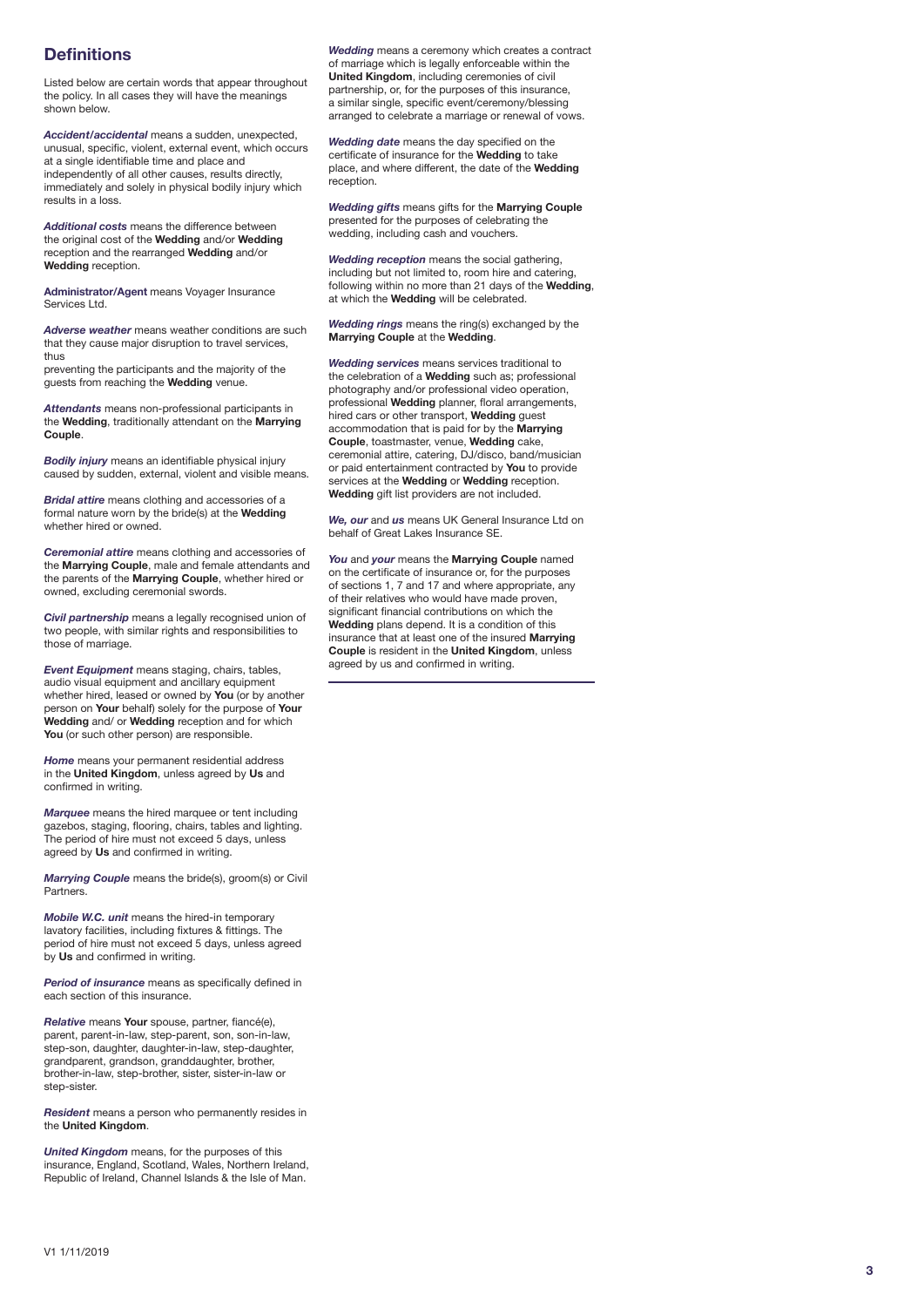# **Definitions**

Listed below are certain words that appear throughout the policy. In all cases they will have the meanings shown below.

*Accident/accidental* means a sudden, unexpected, unusual, specific, violent, external event, which occurs at a single identifiable time and place and independently of all other causes, results directly, immediately and solely in physical bodily injury which results in a loss.

*Additional costs* means the difference between the original cost of the **Wedding** and/or **Wedding** reception and the rearranged **Wedding** and/or **Wedding** reception.

**Administrator/Agent** means Voyager Insurance Services Ltd.

*Adverse weather* means weather conditions are such that they cause major disruption to travel services, thus

preventing the participants and the majority of the guests from reaching the **Wedding** venue.

*Attendants* means non-professional participants in the **Wedding**, traditionally attendant on the **Marrying Couple** .

*Bodily injury* means an identifiable physical injury caused by sudden, external, violent and visible means.

*Bridal attire* means clothing and accessories of a formal nature worn by the bride(s) at the **Wedding** whether hired or owned.

*Ceremonial attire* means clothing and accessories of the **Marrying Couple**, male and female attendants and the parents of the **Marrying Couple**, whether hired or owned, excluding ceremonial swords.

*Civil partnership* means a legally recognised union of two people, with similar rights and responsibilities to those of marriage.

*Event Equipment* means staging, chairs, tables, audio visual equipment and ancillary equipment whether hired, leased or owned by **You** (or by another person on **Your** behalf) solely for the purpose of **Your Wedding** and/ or **Wedding** reception and for which You (or such other person) are responsible.

*Home* means your permanent residential address in the **United Kingdom**, unless agreed by **Us** and confirmed in writing.

*Marquee* means the hired marquee or tent including gazebos, staging, flooring, chairs, tables and lighting. The period of hire must not exceed 5 days, unless agreed by **Us** and confirmed in writing.

*Marrying Couple* means the bride(s), groom(s) or Civil **Partners** 

*Mobile W.C. unit* means the hired-in temporary lavatory facilities, including fixtures & fittings. The period of hire must not exceed 5 days, unless agreed by **Us** and confirmed in writing.

*Period of insurance* means as specifically defined in each section of this insurance.

*Relative* means **Your** spouse, partner, fiancé(e), parent, parent-in-law, step-parent, son, son-in-law, step-son, daughter, daughter-in-law, step-daughter, grandparent, grandson, granddaughter, brother, brother-in-law, step-brother, sister, sister-in-law or step-sister.

*Resident* means a person who permanently resides in the **United Kingdom** .

*United Kingdom* means, for the purposes of this insurance, England, Scotland, Wales, Northern Ireland, Republic of Ireland, Channel Islands & the Isle of Man.

*Wedding* means a ceremony which creates a contract of marriage which is legally enforceable within the **United Kingdom**, including ceremonies of civil partnership, or, for the purposes of this insurance, a similar single, specific event/ceremony/blessing arranged to celebrate a marriage or renewal of vows.

*Wedding date* means the day specified on the certificate of insurance for the **Wedding** to take place, and where different, the date of the **Wedding** reception.

*Wedding gifts* means gifts for the **Marrying Couple**  presented for the purposes of celebrating the wedding, including cash and vouchers.

*Wedding reception* means the social gathering, including but not limited to, room hire and catering, following within no more than 21 days of the **Wedding**, at which the **Wedding** will be celebrated.

*Wedding rings* means the ring(s) exchanged by the **Marrying Couple** at the **Wedding** .

*Wedding services* means services traditional to the celebration of a **Wedding** such as; professional photography and/or professional video operation, professional **Wedding** planner, floral arrangements, hired cars or other transport, **Wedding** guest accommodation that is paid for by the **Marrying Couple**, toastmaster, venue, **Wedding** cake, ceremonial attire, catering, DJ/disco, band/musician or paid entertainment contracted by **You** to provide services at the **Wedding** or **Wedding** reception. **Wedding** gift list providers are not included.

*We, our* and *us* means UK General Insurance Ltd on behalf of Great Lakes Insurance SE.

*You* and *your* means the **Marrying Couple** named on the certificate of insurance or, for the purposes of sections 1, 7 and 17 and where appropriate, any of their relatives who would have made proven, significant financial contributions on which the **Wedding** plans depend. It is a condition of this insurance that at least one of the insured **Marrying Couple** is resident in the **United Kingdom**, unless agreed by us and confirmed in writing.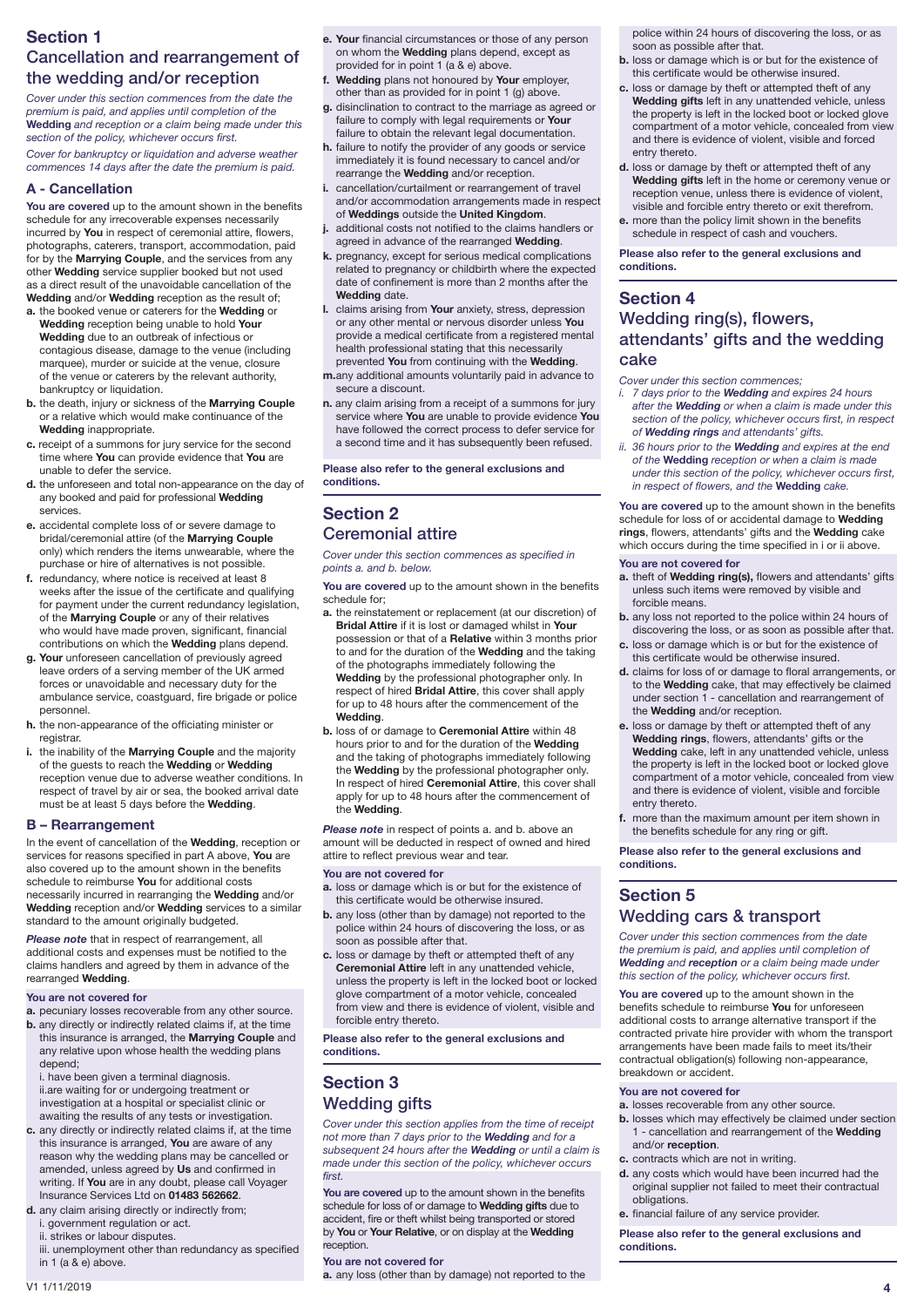# **Section 1**  Cancellation and rearrangement of the wedding and/or reception

*Cover under this section commences from the date the premium is paid, and applies until completion of the*  **Wedding** *and reception or a claim being made under this section of the policy, whichever occurs first.*

*Cover for bankruptcy or liquidation and adverse weather commences 14 days after the date the premium is paid.* 

### **A - Cancellation**

**You are covered** up to the amount shown in the benefits schedule for any irrecoverable expenses necessarily incurred by **You** in respect of ceremonial attire, flowers, photographs, caterers, transport, accommodation, paid for by the **Marrying Couple**, and the services from any other **Wedding** service supplier booked but not used as a direct result of the unavoidable cancellation of the **Wedding** and/or **Wedding** reception as the result of;

- **a.** the booked venue or caterers for the **Wedding** or **Wedding** reception being unable to hold **Your Wedding** due to an outbreak of infectious or contagious disease, damage to the venue (including marquee), murder or suicide at the venue, closure of the venue or caterers by the relevant authority, bankruptcy or liquidation.
- **b.** the death, injury or sickness of the **Marrying Couple** or a relative which would make continuance of the **Wedding** inappropriate.
- **c.** receipt of a summons for jury service for the second time where **You** can provide evidence that **You** are unable to defer the service.
- **d.** the unforeseen and total non-appearance on the day of any booked and paid for professional **Wedding** services.
- **e.** accidental complete loss of or severe damage to bridal/ceremonial attire (of the **Marrying Couple** only) which renders the items unwearable, where the purchase or hire of alternatives is not possible.
- **f.** redundancy, where notice is received at least 8 weeks after the issue of the certificate and qualifying for payment under the current redundancy legislation, of the **Marrying Couple** or any of their relatives who would have made proven, significant, financial contributions on which the **Wedding** plans depend.
- **g. Your** unforeseen cancellation of previously agreed leave orders of a serving member of the UK armed forces or unavoidable and necessary duty for the ambulance service, coastguard, fire brigade or police personnel.
- **h.** the non-appearance of the officiating minister or registrar.
- **i.** the inability of the **Marrying Couple** and the majority of the guests to reach the **Wedding** or **Wedding** reception venue due to adverse weather conditions. In respect of travel by air or sea, the booked arrival date must be at least 5 days before the **Wedding**.

### **B – Rearrangement**

In the event of cancellation of the **Wedding**, reception or services for reasons specified in part A above, **You** are also covered up to the amount shown in the benefits schedule to reimburse **You** for additional costs necessarily incurred in rearranging the **Wedding** and/or **Wedding** reception and/or **Wedding** services to a similar standard to the amount originally budgeted.

*Please note* that in respect of rearrangement, all additional costs and expenses must be notified to the claims handlers and agreed by them in advance of the rearranged **Wedding**.

### **You are not covered for**

- **a.** pecuniary losses recoverable from any other source.
- **b.** any directly or indirectly related claims if, at the time this insurance is arranged, the **Marrying Couple** and any relative upon whose health the wedding plans depend;

i. have been given a terminal diagnosis. ii.are waiting for or undergoing treatment or investigation at a hospital or specialist clinic or awaiting the results of any tests or investigation.

- **c.** any directly or indirectly related claims if, at the time this insurance is arranged, **You** are aware of any reason why the wedding plans may be cancelled or amended, unless agreed by **Us** and confirmed in writing. If **You** are in any doubt, please call Voyager Insurance Services Ltd on **01483 562662**.
- **d.** any claim arising directly or indirectly from;
	- i. government regulation or act.
	- ii. strikes or labour disputes.
- iii. unemployment other than redundancy as specified in 1 (a & e) above.
- **e. Your** financial circumstances or those of any person on whom the **Wedding** plans depend, except as provided for in point 1 (a & e) above.
- **f. Wedding** plans not honoured by **Your** employer, other than as provided for in point 1 (g) above.
- **g.** disinclination to contract to the marriage as agreed or failure to comply with legal requirements or **Your** failure to obtain the relevant legal documentation.
- **h.** failure to notify the provider of any goods or service immediately it is found necessary to cancel and/or rearrange the **Wedding** and/or reception.
- **i.** cancellation/curtailment or rearrangement of travel and/or accommodation arrangements made in respect of **Weddings** outside the **United Kingdom**.
- **j.** additional costs not notified to the claims handlers or agreed in advance of the rearranged **Wedding**.
- **k.** pregnancy, except for serious medical complications related to pregnancy or childbirth where the expected date of confinement is more than 2 months after the **Wedding** date.
- **l.** claims arising from **Your** anxiety, stress, depression or any other mental or nervous disorder unless **You** provide a medical certificate from a registered mental health professional stating that this necessarily prevented **You** from continuing with the **Wedding**.
- **m.**any additional amounts voluntarily paid in advance to secure a discount.
- **n.** any claim arising from a receipt of a summons for jury service where **You** are unable to provide evidence **You** have followed the correct process to defer service for a second time and it has subsequently been refused.

**Please also refer to the general exclusions and conditions.**

# **Section 2**  Ceremonial attire

*Cover under this section commences as specified in points a. and b. below.*

**You are covered** up to the amount shown in the benefits schedule for;

- **a.** the reinstatement or replacement (at our discretion) of **Bridal Attire** if it is lost or damaged whilst in **Your** possession or that of a **Relative** within 3 months prior to and for the duration of the **Wedding** and the taking of the photographs immediately following the **Wedding** by the professional photographer only. In respect of hired **Bridal Attire**, this cover shall apply for up to 48 hours after the commencement of the **Wedding**.
- **b.** loss of or damage to **Ceremonial Attire** within 48 hours prior to and for the duration of the **Wedding** and the taking of photographs immediately following the **Wedding** by the professional photographer only. In respect of hired **Ceremonial Attire**, this cover shall apply for up to 48 hours after the commencement of the **Wedding**.

*Please note* in respect of points a. and b. above an amount will be deducted in respect of owned and hired attire to reflect previous wear and tear.

#### **You are not covered for**

- **a.** loss or damage which is or but for the existence of this certificate would be otherwise insured.
- **b.** any loss (other than by damage) not reported to the police within 24 hours of discovering the loss, or as soon as possible after that.
- **c.** loss or damage by theft or attempted theft of any **Ceremonial Attire** left in any unattended vehicle, unless the property is left in the locked boot or locked glove compartment of a motor vehicle, concealed from view and there is evidence of violent, visible and forcible entry thereto.

**Please also refer to the general exclusions and conditions.**

# **Section 3**  Wedding gifts

*Cover under this section applies from the time of receipt not more than 7 days prior to the Wedding and for a subsequent 24 hours after the Wedding or until a claim is made under this section of the policy, whichever occurs first.*

**You are covered** up to the amount shown in the benefits schedule for loss of or damage to **Wedding gifts** due to accident, fire or theft whilst being transported or stored by **You** or **Your Relative**, or on display at the **Wedding** reception

### **You are not covered for**

**a.** any loss (other than by damage) not reported to the

police within 24 hours of discovering the loss, or as soon as possible after that.

- **b.** loss or damage which is or but for the existence of this certificate would be otherwise insured.
- **c.** loss or damage by theft or attempted theft of any **Wedding gifts** left in any unattended vehicle, unless the property is left in the locked boot or locked glove compartment of a motor vehicle, concealed from view and there is evidence of violent, visible and forced entry thereto.
- **d.** loss or damage by theft or attempted theft of any **Wedding gifts** left in the home or ceremony venue or reception venue, unless there is evidence of violent, visible and forcible entry thereto or exit therefrom.
- **e.** more than the policy limit shown in the benefits schedule in respect of cash and vouchers.

**Please also refer to the general exclusions and conditions.**

## **Section 4**  Wedding ring(s), flowers, attendants' gifts and the wedding cake

*Cover under this section commences;*

- *i. 7 days prior to the Wedding and expires 24 hours after the Wedding or when a claim is made under this section of the policy, whichever occurs first, in respect of Wedding rings and attendants' gifts.*
- *ii. 36 hours prior to the Wedding and expires at the end of the* **Wedding** *reception or when a claim is made under this section of the policy, whichever occurs first, in respect of flowers, and the* **Wedding** *cake.*

**You are covered** up to the amount shown in the benefits schedule for loss of or accidental damage to **Wedding rings**, flowers, attendants' gifts and the **Wedding** cake which occurs during the time specified in i or ii above.

#### **You are not covered for**

- **a.** theft of **Wedding ring(s),** flowers and attendants' gifts unless such items were removed by visible and forcible means.
- **b.** any loss not reported to the police within 24 hours of discovering the loss, or as soon as possible after that.
- **c.** loss or damage which is or but for the existence of this certificate would be otherwise insured.
- **d.** claims for loss of or damage to floral arrangements, or to the **Wedding** cake, that may effectively be claimed under section 1 - cancellation and rearrangement of the **Wedding** and/or reception.
- **e.** loss or damage by theft or attempted theft of any **Wedding rings**, flowers, attendants' gifts or the **Wedding** cake, left in any unattended vehicle, unless the property is left in the locked boot or locked glove compartment of a motor vehicle, concealed from view and there is evidence of violent, visible and forcible entry thereto.
- **f.** more than the maximum amount per item shown in the benefits schedule for any ring or gift.

**Please also refer to the general exclusions and conditions.**

# **Section 5**  Wedding cars & transport

*Cover under this section commences from the date the premium is paid, and applies until completion of Wedding and reception or a claim being made under this section of the policy, whichever occurs first.*

**You are covered** up to the amount shown in the benefits schedule to reimburse **You** for unforeseen additional costs to arrange alternative transport if the contracted private hire provider with whom the transport arrangements have been made fails to meet its/their contractual obligation(s) following non-appearance, breakdown or accident.

#### **You are not covered for**

- **a.** losses recoverable from any other source.
- **b.** losses which may effectively be claimed under section 1 - cancellation and rearrangement of the **Wedding** and/or **reception**.
- **c.** contracts which are not in writing.
- **d.** any costs which would have been incurred had the original supplier not failed to meet their contractual obligations.
- **e.** financial failure of any service provider.

**Please also refer to the general exclusions and conditions.**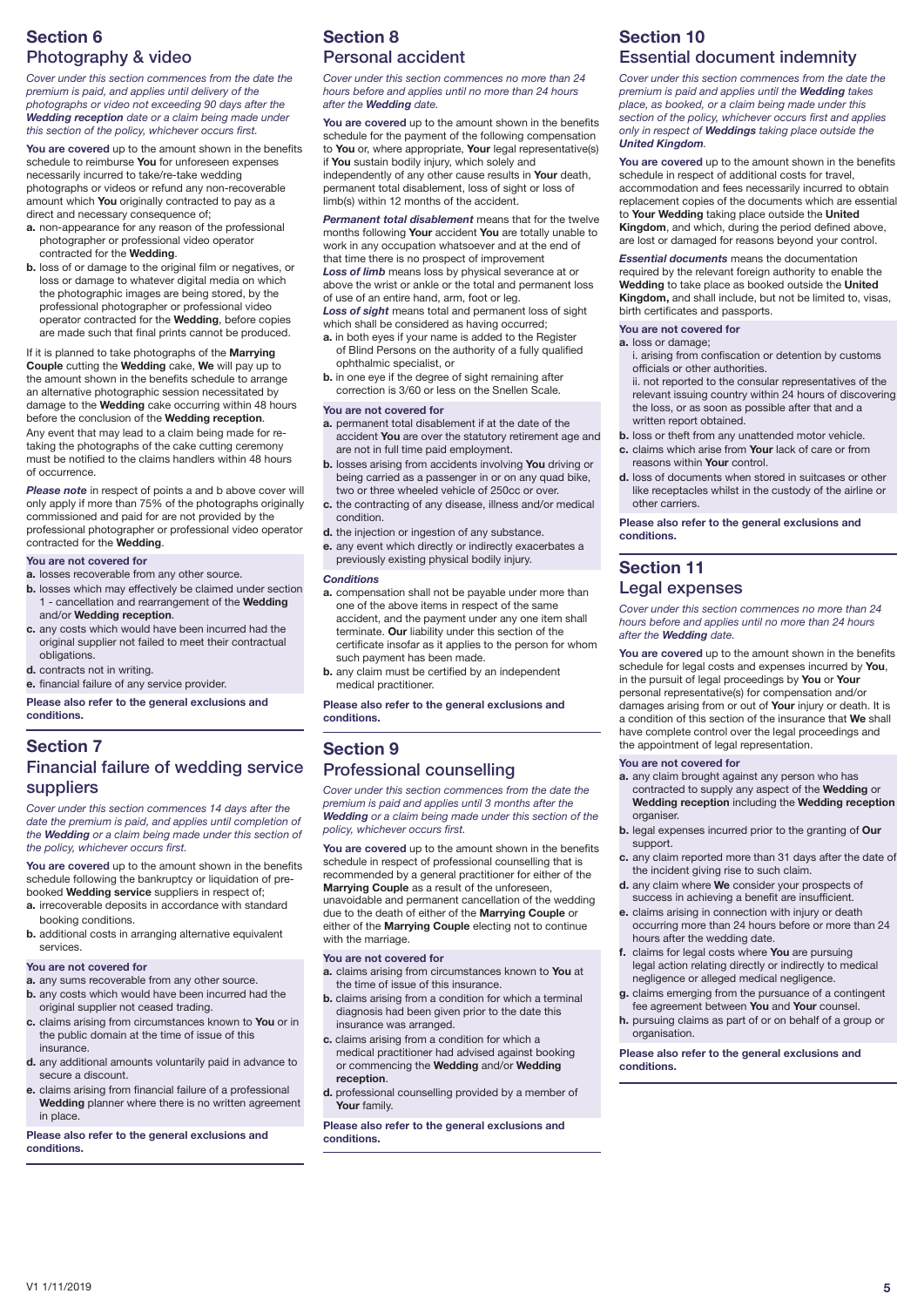# **Section 6**  Photography & video

*Cover under this section commences from the date the premium is paid, and applies until delivery of the photographs or video not exceeding 90 days after the Wedding reception date or a claim being made under this section of the policy, whichever occurs first.*

**You are covered** up to the amount shown in the benefits schedule to reimburse **You** for unforeseen expenses necessarily incurred to take/re-take wedding photographs or videos or refund any non-recoverable amount which **You** originally contracted to pay as a direct and necessary consequence of;

- **a.** non-appearance for any reason of the professional photographer or professional video operator contracted for the **Wedding**.
- **b.** loss of or damage to the original film or negatives, or loss or damage to whatever digital media on which the photographic images are being stored, by the professional photographer or professional video operator contracted for the **Wedding**, before copies are made such that final prints cannot be produced.

If it is planned to take photographs of the **Marrying Couple** cutting the **Wedding** cake, **We** will pay up to the amount shown in the benefits schedule to arrange an alternative photographic session necessitated by damage to the **Wedding** cake occurring within 48 hours before the conclusion of the **Wedding reception**. Any event that may lead to a claim being made for retaking the photographs of the cake cutting ceremony must be notified to the claims handlers within 48 hours of occurrence.

**Please note** in respect of points a and b above cover will only apply if more than 75% of the photographs originally commissioned and paid for are not provided by the professional photographer or professional video operator contracted for the **Wedding**.

### **You are not covered for**

- **a.** losses recoverable from any other source.
- **b.** losses which may effectively be claimed under section 1 - cancellation and rearrangement of the **Wedding** and/or **Wedding reception**.
- **c.** any costs which would have been incurred had the original supplier not failed to meet their contractual obligations.
- **d.** contracts not in writing.

**e.** financial failure of any service provider.

**Please also refer to the general exclusions and conditions.**

### **Section 7**  Financial failure of wedding service suppliers

*Cover under this section commences 14 days after the date the premium is paid, and applies until completion of the Wedding or a claim being made under this section of the policy, whichever occurs first.* 

**You are covered** up to the amount shown in the benefits schedule following the bankruptcy or liquidation of prebooked **Wedding service** suppliers in respect of;

- **a.** irrecoverable deposits in accordance with standard booking conditions.
- **b.** additional costs in arranging alternative equivalent services.

### **You are not covered for**

- **a.** any sums recoverable from any other source.
- **b.** any costs which would have been incurred had the
- original supplier not ceased trading. **c.** claims arising from circumstances known to **You** or in the public domain at the time of issue of this insurance.
- **d.** any additional amounts voluntarily paid in advance to secure a discount.
- **e.** claims arising from financial failure of a professional **Wedding** planner where there is no written agreement in place.

**Please also refer to the general exclusions and conditions.**

# **Section 8**  Personal accident

*Cover under this section commences no more than 24 hours before and applies until no more than 24 hours after the Wedding date.*

**You are covered** up to the amount shown in the benefits schedule for the payment of the following compensation to **You** or, where appropriate, **Your** legal representative(s) if **You** sustain bodily injury, which solely and independently of any other cause results in **Your** death, permanent total disablement, loss of sight or loss of limb(s) within 12 months of the accident.

*Permanent total disablement* means that for the twelve months following **Your** accident **You** are totally unable to work in any occupation whatsoever and at the end of that time there is no prospect of improvement *Loss of limb* means loss by physical severance at or above the wrist or ankle or the total and permanent loss of use of an entire hand, arm, foot or leg.

*Loss of sight* means total and permanent loss of sight which shall be considered as having occurred;

- **a.** in both eyes if your name is added to the Register of Blind Persons on the authority of a fully qualified ophthalmic specialist, or
- **b.** in one eye if the degree of sight remaining after correction is 3/60 or less on the Snellen Scale.

#### **You are not covered for**

- **a.** permanent total disablement if at the date of the accident **You** are over the statutory retirement age and are not in full time paid employment.
- **b.** losses arising from accidents involving **You** driving or being carried as a passenger in or on any quad bike, two or three wheeled vehicle of 250cc or over.
- **c.** the contracting of any disease, illness and/or medical condition.
- **d.** the injection or ingestion of any substance.
- **e.** any event which directly or indirectly exacerbates a previously existing physical bodily injury.

#### *Conditions*

- **a.** compensation shall not be payable under more than one of the above items in respect of the same accident, and the payment under any one item shall terminate. **Our** liability under this section of the certificate insofar as it applies to the person for whom such payment has been made.
- **b.** any claim must be certified by an independent medical practitioner.

**Please also refer to the general exclusions and conditions.**

### **Section 9**  Professional counselling

*Cover under this section commences from the date the premium is paid and applies until 3 months after the Wedding or a claim being made under this section of the policy, whichever occurs first.* 

**You are covered** up to the amount shown in the benefits schedule in respect of professional counselling that is recommended by a general practitioner for either of the **Marrying Couple** as a result of the unforeseen, unavoidable and permanent cancellation of the wedding due to the death of either of the **Marrying Couple** or either of the **Marrying Couple** electing not to continue

#### **You are not covered for**

with the marriage

**a.** claims arising from circumstances known to **You** at the time of issue of this insurance.

- **b.** claims arising from a condition for which a terminal diagnosis had been given prior to the date this insurance was arranged.
- **c.** claims arising from a condition for which a medical practitioner had advised against booking or commencing the **Wedding** and/or **Wedding reception**.
- **d.** professional counselling provided by a member of **Your** family.

**Please also refer to the general exclusions and conditions.**

# **Section 10**  Essential document indemnity

*Cover under this section commences from the date the premium is paid and applies until the Wedding takes place, as booked, or a claim being made under this section of the policy, whichever occurs first and applies only in respect of Weddings taking place outside the United Kingdom.*

**You are covered** up to the amount shown in the benefits schedule in respect of additional costs for travel, accommodation and fees necessarily incurred to obtain replacement copies of the documents which are essential to **Your Wedding** taking place outside the **United Kingdom**, and which, during the period defined above, are lost or damaged for reasons beyond your control.

*Essential documents* means the documentation required by the relevant foreign authority to enable the **Wedding** to take place as booked outside the **United Kingdom,** and shall include, but not be limited to, visas, birth certificates and passports.

### **You are not covered for**

- **a.** loss or damage;
- i. arising from confiscation or detention by customs officials or other authorities.
- ii. not reported to the consular representatives of the relevant issuing country within 24 hours of discovering the loss, or as soon as possible after that and a written report obtained.
- **b.** loss or theft from any unattended motor vehicle.
- **c.** claims which arise from **Your** lack of care or from reasons within **Your** control.
- **d.** loss of documents when stored in suitcases or other like receptacles whilst in the custody of the airline or other carriers.

**Please also refer to the general exclusions and conditions.**

### **Section 11**  Legal expenses

*Cover under this section commences no more than 24 hours before and applies until no more than 24 hours after the Wedding date.*

**You are covered** up to the amount shown in the benefits schedule for legal costs and expenses incurred by **You**, in the pursuit of legal proceedings by **You** or **Your** personal representative(s) for compensation and/or damages arising from or out of **Your** injury or death. It is a condition of this section of the insurance that **We** shall have complete control over the legal proceedings and the appointment of legal representation.

#### **You are not covered for**

- **a.** any claim brought against any person who has contracted to supply any aspect of the **Wedding** or **Wedding reception** including the **Wedding reception**  organiser.
- **b.** legal expenses incurred prior to the granting of **Our** support.
- **c.** any claim reported more than 31 days after the date of the incident giving rise to such claim.
- **d.** any claim where **We** consider your prospects of success in achieving a benefit are insufficient.
- **e.** claims arising in connection with injury or death occurring more than 24 hours before or more than 24 hours after the wedding date.
- **f.** claims for legal costs where **You** are pursuing legal action relating directly or indirectly to medical negligence or alleged medical negligence.
- **g.** claims emerging from the pursuance of a contingent fee agreement between **You** and **Your** counsel.
- **h.** pursuing claims as part of or on behalf of a group or organisation.

**Please also refer to the general exclusions and conditions.**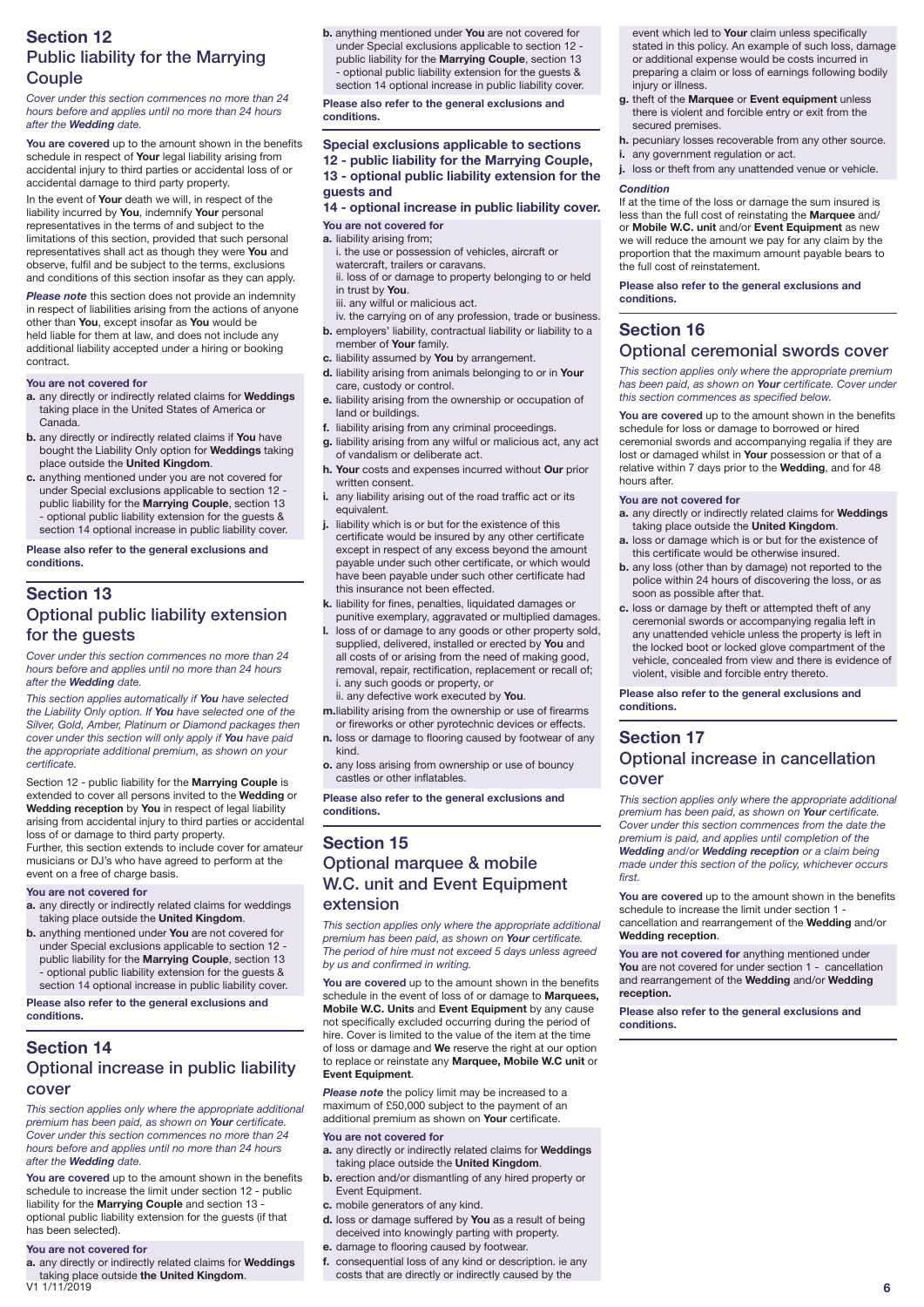# **Section 12**  Public liability for the Marrying **Couple**

### *Cover under this section commences no more than 24 hours before and applies until no more than 24 hours after the Wedding date.*

**You are covered** up to the amount shown in the benefits schedule in respect of **Your** legal liability arising from accidental injury to third parties or accidental loss of or accidental damage to third party property.

In the event of **Your** death we will, in respect of the liability incurred by **You**, indemnify **Your** personal representatives in the terms of and subject to the limitations of this section, provided that such personal representatives shall act as though they were **You** and observe, fulfil and be subject to the terms, exclusions and conditions of this section insofar as they can apply.

*Please note* this section does not provide an indemnity in respect of liabilities arising from the actions of anyone other than **You**, except insofar as **You** would be held liable for them at law, and does not include any additional liability accepted under a hiring or booking contract.

### **You are not covered for**

- **a.** any directly or indirectly related claims for **Weddings** taking place in the United States of America or Canada.
- **b.** any directly or indirectly related claims if **You** have bought the Liability Only option for **Weddings** taking place outside the **United Kingdom**.
- **c.** anything mentioned under you are not covered for under Special exclusions applicable to section 12 public liability for the **Marrying Couple**, section 13 - optional public liability extension for the guests & section 14 optional increase in public liability cover.

**Please also refer to the general exclusions and conditions.**

# **Section 13**  Optional public liability extension for the guests

*Cover under this section commences no more than 24 hours before and applies until no more than 24 hours after the Wedding date.*

*This section applies automatically if You have selected the Liability Only option. If You have selected one of the Silver, Gold, Amber, Platinum or Diamond packages then cover under this section will only apply if You have paid the appropriate additional premium, as shown on your certificate.*

Section 12 - public liability for the **Marrying Couple** is extended to cover all persons invited to the **Wedding** or **Wedding reception** by **You** in respect of legal liability arising from accidental injury to third parties or accidental loss of or damage to third party property.

Further, this section extends to include cover for amateur musicians or DJ's who have agreed to perform at the event on a free of charge basis.

#### **You are not covered for**

- **a.** any directly or indirectly related claims for weddings taking place outside the **United Kingdom**.
- **b.** anything mentioned under **You** are not covered for under Special exclusions applicable to section 12 public liability for the **Marrying Couple**, section 13 - optional public liability extension for the guests & section 14 optional increase in public liability cover.

**Please also refer to the general exclusions and conditions.**

# **Section 14**  Optional increase in public liability cover

*This section applies only where the appropriate additional premium has been paid, as shown on Your certificate. Cover under this section commences no more than 24 hours before and applies until no more than 24 hours after the Wedding date.*

**You are covered** up to the amount shown in the benefits schedule to increase the limit under section 12 - public liability for the **Marrying Couple** and section 13 optional public liability extension for the guests (if that has been selected).

#### **You are not covered for**

V1 1/11/2019 **6 a.** any directly or indirectly related claims for **Weddings** taking place outside **the United Kingdom**.

**b.** anything mentioned under **You** are not covered for under Special exclusions applicable to section 12 public liability for the **Marrying Couple**, section 13 - optional public liability extension for the guests & section 14 optional increase in public liability cover.

**Please also refer to the general exclusions and conditions.**

### **Special exclusions applicable to sections 12 - public liability for the Marrying Couple, 13 - optional public liability extension for the**

### **guests and 14 - optional increase in public liability cover.**

### **You are not covered for**

- **a.** liability arising from; i. the use or possession of vehicles, aircraft or watercraft, trailers or caravans.
- ii. loss of or damage to property belonging to or held in trust by **You**.
- iii. any wilful or malicious act. iv. the carrying on of any profession, trade or business.
- **b.** employers' liability, contractual liability or liability to a member of **Your** family.
- **c.** liability assumed by **You** by arrangement.
- **d.** liability arising from animals belonging to or in **Your** care, custody or control.
- **e.** liability arising from the ownership or occupation of land or buildings.
- **f.** liability arising from any criminal proceedings.
- **g.** liability arising from any wilful or malicious act, any act of vandalism or deliberate act.
- **h. Your** costs and expenses incurred without **Our** prior written consent.
- **i.** any liability arising out of the road traffic act or its equivalent.
- **j.** liability which is or but for the existence of this certificate would be insured by any other certificate except in respect of any excess beyond the amount payable under such other certificate, or which would have been payable under such other certificate had this insurance not been effected.
- **k.** liability for fines, penalties, liquidated damages or punitive exemplary, aggravated or multiplied damages.
- **l.** loss of or damage to any goods or other property sold, supplied, delivered, installed or erected by **You** and all costs of or arising from the need of making good, removal, repair, rectification, replacement or recall of; i. any such goods or property, or
- ii. any defective work executed by **You**.
- **m.**liability arising from the ownership or use of firearms or fireworks or other pyrotechnic devices or effects.
- **n.** loss or damage to flooring caused by footwear of any kind.
- **o.** any loss arising from ownership or use of bouncy castles or other inflatables.

**Please also refer to the general exclusions and conditions.**

# **Section 15**  Optional marquee & mobile W.C. unit and Event Equipment extension

*This section applies only where the appropriate additional premium has been paid, as shown on Your certificate. The period of hire must not exceed 5 days unless agreed by us and confirmed in writing.* 

**You are covered** up to the amount shown in the benefits schedule in the event of loss of or damage to **Marquees, Mobile W.C. Units** and **Event Equipment** by any cause not specifically excluded occurring during the period of hire. Cover is limited to the value of the item at the time of loss or damage and **We** reserve the right at our option to replace or reinstate any **Marquee, Mobile W.C unit** or **Event Equipment**.

*Please note* the policy limit may be increased to a maximum of £50,000 subject to the payment of an additional premium as shown on **Your** certificate.

#### **You are not covered for**

- **a.** any directly or indirectly related claims for **Weddings** taking place outside the **United Kingdom**.
- **b.** erection and/or dismantling of any hired property or Event Equipment.
- **c.** mobile generators of any kind.
- **d.** loss or damage suffered by **You** as a result of being deceived into knowingly parting with property.
- **e.** damage to flooring caused by footwear. **f.** consequential loss of any kind or description. ie any costs that are directly or indirectly caused by the

event which led to **Your** claim unless specifically stated in this policy. An example of such loss, damage or additional expense would be costs incurred in preparing a claim or loss of earnings following bodily injury or illness.

- **g.** theft of the **Marquee** or **Event equipment** unless there is violent and forcible entry or exit from the secured premises.
- **h.** pecuniary losses recoverable from any other source.
- **i.** any government regulation or act.

loss or theft from any unattended venue or vehicle.

### *Condition*

If at the time of the loss or damage the sum insured is less than the full cost of reinstating the **Marquee** and/ or **Mobile W.C. unit** and/or **Event Equipment** as new we will reduce the amount we pay for any claim by the proportion that the maximum amount payable bears to the full cost of reinstatement.

**Please also refer to the general exclusions and conditions.**

# **Section 16**

# Optional ceremonial swords cover

*This section applies only where the appropriate premium has been paid, as shown on Your certificate. Cover under this section commences as specified below.*

**You are covered** up to the amount shown in the benefits schedule for loss or damage to borrowed or hired ceremonial swords and accompanying regalia if they are lost or damaged whilst in **Your** possession or that of a relative within 7 days prior to the **Wedding**, and for 48 hours after.

### **You are not covered for**

- **a.** any directly or indirectly related claims for **Weddings** taking place outside the **United Kingdom**.
- **a.** loss or damage which is or but for the existence of this certificate would be otherwise insured.
- **b.** any loss (other than by damage) not reported to the police within 24 hours of discovering the loss, or as soon as possible after that.
- **c.** loss or damage by theft or attempted theft of any ceremonial swords or accompanying regalia left in any unattended vehicle unless the property is left in the locked boot or locked glove compartment of the vehicle, concealed from view and there is evidence of violent, visible and forcible entry thereto.

**Please also refer to the general exclusions and conditions.**

### **Section 17**  Optional increase in cancellation cover

*This section applies only where the appropriate additional premium has been paid, as shown on Your certificate. Cover under this section commences from the date the premium is paid, and applies until completion of the Wedding and/or Wedding reception or a claim being made under this section of the policy, whichever occurs first.*

**You are covered** up to the amount shown in the benefits schedule to increase the limit under section 1 cancellation and rearrangement of the **Wedding** and/or **Wedding reception**.

**You are not covered for** anything mentioned under **You** are not covered for under section 1 - cancellation and rearrangement of the **Wedding** and/or **Wedding reception.**

**Please also refer to the general exclusions and conditions.**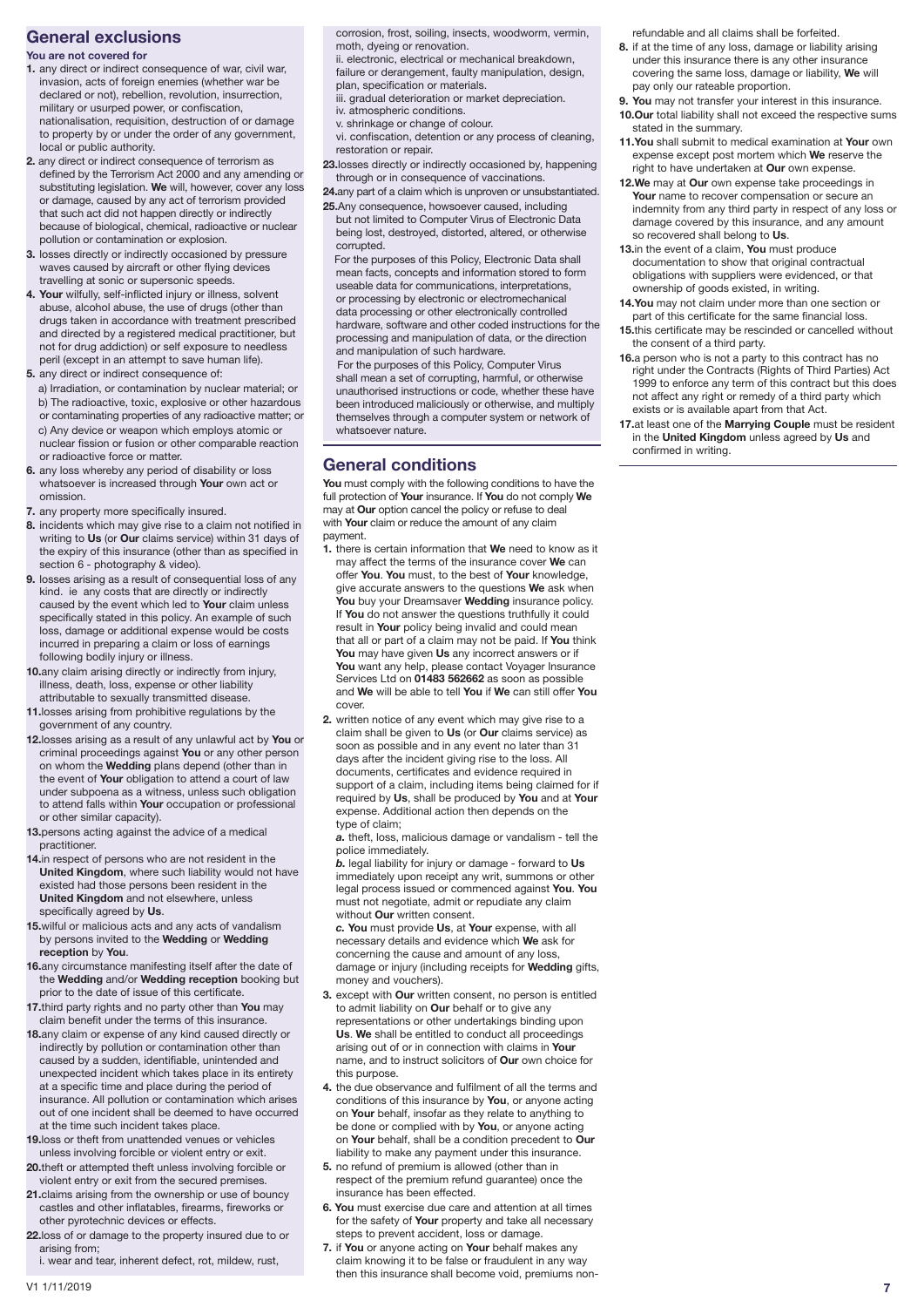### **General exclusions**

### **You are not covered for**

- **1.** any direct or indirect consequence of war, civil war, invasion, acts of foreign enemies (whether war be declared or not), rebellion, revolution, insurrection, military or usurped power, or confiscation, nationalisation, requisition, destruction of or damage to property by or under the order of any government, local or public authority.
- **2.** any direct or indirect consequence of terrorism as defined by the Terrorism Act 2000 and any amending or substituting legislation. **We** will, however, cover any loss or damage, caused by any act of terrorism provided that such act did not happen directly or indirectly because of biological, chemical, radioactive or nuclear pollution or contamination or explosion.
- **3.** losses directly or indirectly occasioned by pressure waves caused by aircraft or other flying devices travelling at sonic or supersonic speeds.
- **4. Your** wilfully, self-inflicted injury or illness, solvent abuse, alcohol abuse, the use of drugs (other than drugs taken in accordance with treatment prescribed and directed by a registered medical practitioner, but not for drug addiction) or self exposure to needless peril (except in an attempt to save human life).
- **5.** any direct or indirect consequence of:
- a) Irradiation, or contamination by nuclear material; or b) The radioactive, toxic, explosive or other hazardous or contaminating properties of any radioactive matter; or c) Any device or weapon which employs atomic or nuclear fission or fusion or other comparable reaction or radioactive force or matter.
- **6.** any loss whereby any period of disability or loss whatsoever is increased through **Your** own act or omission.
- **7.** any property more specifically insured.
- **8.** incidents which may give rise to a claim not notified in writing to **Us** (or **Our** claims service) within 31 days of the expiry of this insurance (other than as specified in section 6 - photography & video).
- **9.** losses arising as a result of consequential loss of any kind. ie any costs that are directly or indirectly caused by the event which led to **Your** claim unless specifically stated in this policy. An example of such loss, damage or additional expense would be costs incurred in preparing a claim or loss of earnings following bodily injury or illness.
- **10.**any claim arising directly or indirectly from injury, illness, death, loss, expense or other liability attributable to sexually transmitted disease.
- **11.**losses arising from prohibitive regulations by the government of any country.
- **12.**losses arising as a result of any unlawful act by **You** or criminal proceedings against **You** or any other person on whom the **Wedding** plans depend (other than in the event of **Your** obligation to attend a court of law under subpoena as a witness, unless such obligation to attend falls within **Your** occupation or professional or other similar capacity).
- **13.**persons acting against the advice of a medical practitioner.
- **14.**in respect of persons who are not resident in the **United Kingdom**, where such liability would not have existed had those persons been resident in the **United Kingdom** and not elsewhere, unless specifically agreed by **Us**.
- **15.**wilful or malicious acts and any acts of vandalism by persons invited to the **Wedding** or **Wedding reception** by **You**.
- **16.**any circumstance manifesting itself after the date of the **Wedding** and/or **Wedding reception** booking but prior to the date of issue of this certificate.
- **17.**third party rights and no party other than **You** may claim benefit under the terms of this insurance.
- **18.**any claim or expense of any kind caused directly or indirectly by pollution or contamination other than caused by a sudden, identifiable, unintended and unexpected incident which takes place in its entirety at a specific time and place during the period of insurance. All pollution or contamination which arises out of one incident shall be deemed to have occurred at the time such incident takes place.
- **19.**loss or theft from unattended venues or vehicles unless involving forcible or violent entry or exit.
- **20.**theft or attempted theft unless involving forcible or violent entry or exit from the secured premises.
- **21.**claims arising from the ownership or use of bouncy castles and other inflatables, firearms, fireworks or other pyrotechnic devices or effects.
- **22.**loss of or damage to the property insured due to or arising from;
	- i. wear and tear, inherent defect, rot, mildew, rust,

corrosion, frost, soiling, insects, woodworm, vermin, moth, dyeing or renovation.

- ii. electronic, electrical or mechanical breakdown, failure or derangement, faulty manipulation, design, plan, specification or materials.
- iii. gradual deterioration or market depreciation.
	- iv. atmospheric conditions.
	- v. shrinkage or change of colour.
- vi. confiscation, detention or any process of cleaning, restoration or repair.
- **23.**losses directly or indirectly occasioned by, happening through or in consequence of vaccinations.
- **24.**any part of a claim which is unproven or unsubstantiated. **25.**Any consequence, howsoever caused, including
- but not limited to Computer Virus of Electronic Data being lost, destroyed, distorted, altered, or otherwise corrupted.

 For the purposes of this Policy, Electronic Data shall mean facts, concepts and information stored to form useable data for communications, interpretations, or processing by electronic or electromechanical data processing or other electronically controlled hardware, software and other coded instructions for the processing and manipulation of data, or the direction and manipulation of such hardware.

 For the purposes of this Policy, Computer Virus shall mean a set of corrupting, harmful, or otherwise unauthorised instructions or code, whether these have been introduced maliciously or otherwise, and multiply themselves through a computer system or network of whatsoever nature.

# **General conditions**

**You** must comply with the following conditions to have the full protection of **Your** insurance. If **You** do not comply **We** may at **Our** option cancel the policy or refuse to deal with **Your** claim or reduce the amount of any claim payment.

- **1.** there is certain information that **We** need to know as it may affect the terms of the insurance cover **We** can offer **You**. **You** must, to the best of **Your** knowledge, give accurate answers to the questions **We** ask when **You** buy your Dreamsaver **Wedding** insurance policy. If **You** do not answer the questions truthfully it could result in **Your** policy being invalid and could mean that all or part of a claim may not be paid. If **You** think **You** may have given **Us** any incorrect answers or if **You** want any help, please contact Voyager Insurance Services Ltd on **01483 562662** as soon as possible and **We** will be able to tell **You** if **We** can still offer **You** cover.
- **2.** written notice of any event which may give rise to a claim shall be given to **Us** (or **Our** claims service) as soon as possible and in any event no later than 31 days after the incident giving rise to the loss. All documents, certificates and evidence required in support of a claim, including items being claimed for if required by **Us**, shall be produced by **You** and at **Your** expense. Additional action then depends on the type of claim;

*a.* theft, loss, malicious damage or vandalism - tell the police immediately.

*b.* legal liability for injury or damage - forward to **Us** immediately upon receipt any writ, summons or other legal process issued or commenced against **You**. **You** must not negotiate, admit or repudiate any claim without **Our** written consent.

*c.* **You** must provide **Us**, at **Your** expense, with all necessary details and evidence which **We** ask for concerning the cause and amount of any loss, damage or injury (including receipts for **Wedding** gifts, money and vouchers).

- **3.** except with **Our** written consent, no person is entitled to admit liability on **Our** behalf or to give any representations or other undertakings binding upon **Us**. **We** shall be entitled to conduct all proceedings arising out of or in connection with claims in **Your** name, and to instruct solicitors of **Our** own choice for this purpose.
- **4.** the due observance and fulfilment of all the terms and conditions of this insurance by **You**, or anyone acting on **Your** behalf, insofar as they relate to anything to be done or complied with by **You**, or anyone acting on **Your** behalf, shall be a condition precedent to **Our** liability to make any payment under this insurance.
- **5.** no refund of premium is allowed (other than in respect of the premium refund guarantee) once the insurance has been effected.
- **6. You** must exercise due care and attention at all times for the safety of **Your** property and take all necessary steps to prevent accident, loss or damage.
- **7.** if **You** or anyone acting on **Your** behalf makes any claim knowing it to be false or fraudulent in any way then this insurance shall become void, premiums non-

refundable and all claims shall be forfeited.

- **8.** if at the time of any loss, damage or liability arising under this insurance there is any other insurance covering the same loss, damage or liability, **We** will pay only our rateable proportion.
- **9. You** may not transfer your interest in this insurance. **10.Our** total liability shall not exceed the respective sums stated in the summary.
- **11.You** shall submit to medical examination at **Your** own expense except post mortem which **We** reserve the right to have undertaken at **Our** own expense.
- **12.We** may at **Our** own expense take proceedings in **Your** name to recover compensation or secure an indemnity from any third party in respect of any loss or damage covered by this insurance, and any amount so recovered shall belong to **Us**.
- **13.**in the event of a claim, **You** must produce documentation to show that original contractual obligations with suppliers were evidenced, or that ownership of goods existed, in writing.
- **14.You** may not claim under more than one section or part of this certificate for the same financial loss.
- **15.**this certificate may be rescinded or cancelled without the consent of a third party.
- **16.**a person who is not a party to this contract has no right under the Contracts (Rights of Third Parties) Act 1999 to enforce any term of this contract but this does not affect any right or remedy of a third party which exists or is available apart from that Act.
- **17.**at least one of the **Marrying Couple** must be resident in the **United Kingdom** unless agreed by **Us** and confirmed in writing.